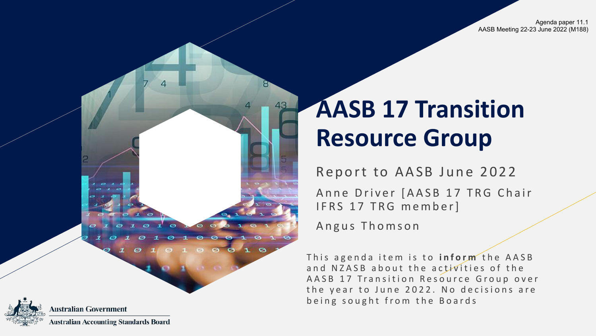Agenda paper 11.1 AASB Meeting 22-23 June 2022 (M188)



### **Australian Government Australian Accounting Standards Board**

# **AASB 17 Transition Resource Group**

Report to AASB June 2022

Anne Driver [AASB 17 TRG Chair IFRS 17 TRG member]

Angus Thomson

This agenda item is to **inform** the AASB and NZASB about the activities of the AASB 17 Transition Resource Group over the year to June 2022. No decisions are being sought from the Boards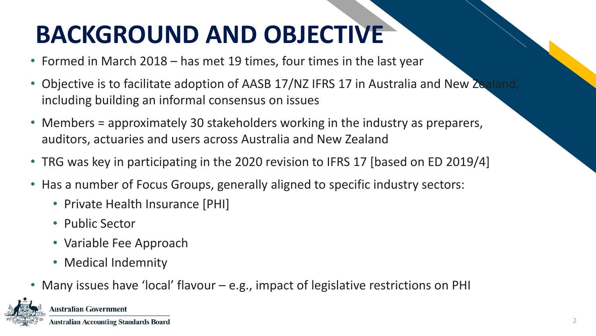# **BACKGROUND AND OBJECTIVE**

- Formed in March 2018 has met 19 times, four times in the last year
- Objective is to facilitate adoption of AASB 17/NZ IFRS 17 in Australia and New Zealand, including building an informal consensus on issues
- Members = approximately 30 stakeholders working in the industry as preparers, auditors, actuaries and users across Australia and New Zealand
- TRG was key in participating in the 2020 revision to IFRS 17 [based on ED 2019/4]
- Has a number of Focus Groups, generally aligned to specific industry sectors:
	- Private Health Insurance [PHI]
	- Public Sector
	- Variable Fee Approach
	- Medical Indemnity
- Many issues have 'local' flavour e.g., impact of legislative restrictions on PHI



#### **Australian Government**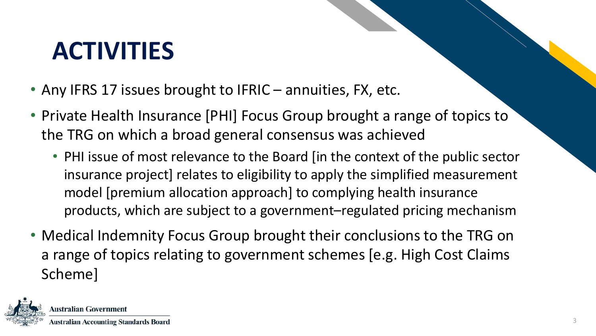# **ACTIVITIES**

- Any IFRS 17 issues brought to IFRIC annuities, FX, etc.
- Private Health Insurance [PHI] Focus Group brought a range of topics to the TRG on which a broad general consensus was achieved
	- PHI issue of most relevance to the Board [in the context of the public sector insurance project] relates to eligibility to apply the simplified measurement model [premium allocation approach] to complying health insurance products, which are subject to a government–regulated pricing mechanism
- Medical Indemnity Focus Group brought their conclusions to the TRG on a range of topics relating to government schemes [e.g. High Cost Claims Scheme]

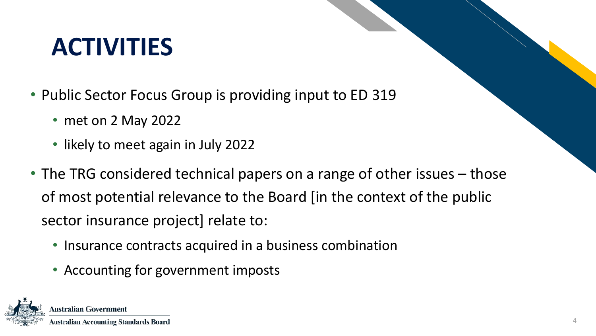### ACTIVITIES **ACTIVITIES**

- Public Sector Focus Group is providing input to ED 319
	- met on 2 May 2022
	- likely to meet again in July 2022
- The TRG considered technical papers on a range of other issues those of most potential relevance to the Board [in the context of the public sector insurance project] relate to:
	- Insurance contracts acquired in a business combination
	- Accounting for government imposts

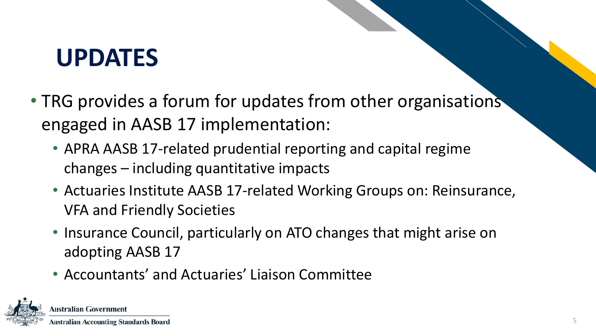### **Table 19 UPDATES**

- TRG provides a forum for updates from other organisations engaged in AASB 17 implementation:
	- APRA AASB 17-related prudential reporting and capital regime changes – including quantitative impacts
	- Actuaries Institute AASB 17-related Working Groups on: Reinsurance, VFA and Friendly Societies
	- Insurance Council, particularly on ATO changes that might arise on adopting AASB 17
	- Accountants' and Actuaries' Liaison Committee